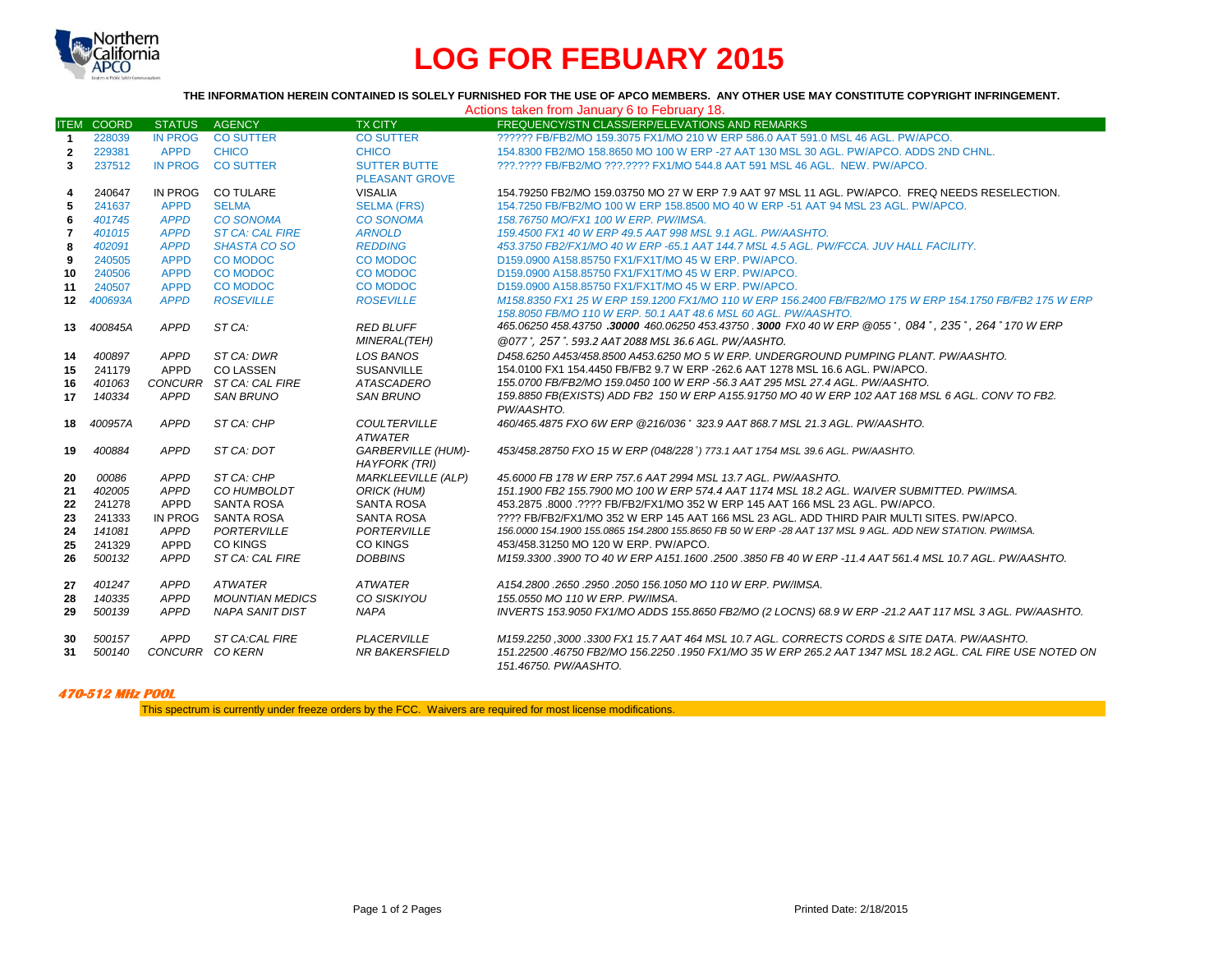

# **LOG FOR FEBUARY 2015**

| THE INFORMATION HEREIN CONTAINED IS SOLELY FURNISHED FOR THE USE OF APCO MEMBERS. ANY OTHER USE MAY CONSTITUTE COPYRIGHT INFRINGEMENT. |                   |                         |                         |                                             |                                                                                                                                                                                                                                 |  |  |  |  |  |
|----------------------------------------------------------------------------------------------------------------------------------------|-------------------|-------------------------|-------------------------|---------------------------------------------|---------------------------------------------------------------------------------------------------------------------------------------------------------------------------------------------------------------------------------|--|--|--|--|--|
| Actions taken from January 6 to February 18.                                                                                           |                   |                         |                         |                                             |                                                                                                                                                                                                                                 |  |  |  |  |  |
|                                                                                                                                        | <b>ITEM COORD</b> | <b>STATUS</b>           | <b>AGENCY</b>           | <b>TX CITY</b>                              | FREQUENCY/STN CLASS/ERP/ELEVATIONS AND REMARKS                                                                                                                                                                                  |  |  |  |  |  |
| $\overline{1}$                                                                                                                         | 228039            | <b>IN PROG</b>          | <b>CO SUTTER</b>        | <b>CO SUTTER</b>                            | ?????? FB/FB2/MO 159.3075 FX1/MO 210 W ERP 586.0 AAT 591.0 MSL 46 AGL, PW/APCO.                                                                                                                                                 |  |  |  |  |  |
| $\overline{2}$                                                                                                                         | 229381            | <b>APPD</b>             | <b>CHICO</b>            | <b>CHICO</b>                                | 154.8300 FB2/MO 158.8650 MO 100 W ERP -27 AAT 130 MSL 30 AGL, PW/APCO, ADDS 2ND CHNL,                                                                                                                                           |  |  |  |  |  |
| 3                                                                                                                                      | 237512            | <b>IN PROG</b>          | <b>CO SUTTER</b>        | <b>SUTTER BUTTE</b>                         | ???.???? FB/FB2/MO ???.???? FX1/MO 544.8 AAT 591 MSL 46 AGL. NEW. PW/APCO.                                                                                                                                                      |  |  |  |  |  |
|                                                                                                                                        |                   |                         |                         | <b>PLEASANT GROVE</b>                       |                                                                                                                                                                                                                                 |  |  |  |  |  |
| 4                                                                                                                                      | 240647            | IN PROG                 | <b>CO TULARE</b>        | <b>VISALIA</b>                              | 154.79250 FB2/MO 159.03750 MO 27 W ERP 7.9 AAT 97 MSL 11 AGL. PW/APCO. FREQ NEEDS RESELECTION.                                                                                                                                  |  |  |  |  |  |
| 5                                                                                                                                      | 241637            | <b>APPD</b>             | <b>SELMA</b>            | <b>SELMA (FRS)</b>                          | 154.7250 FB/FB2/MO 100 W ERP 158.8500 MO 40 W ERP -51 AAT 94 MSL 23 AGL, PW/APCO.                                                                                                                                               |  |  |  |  |  |
| 6                                                                                                                                      | 401745            | <b>APPD</b>             | <b>CO SONOMA</b>        | <b>CO SONOMA</b>                            | 158.76750 MO/FX1 100 W ERP. PW/IMSA.                                                                                                                                                                                            |  |  |  |  |  |
| $\overline{\mathbf{r}}$                                                                                                                | 401015            | <b>APPD</b>             | <b>ST CA: CAL FIRE</b>  | <b>ARNOLD</b>                               | 159.4500 FX1 40 W ERP 49.5 AAT 998 MSL 9.1 AGL. PW/AASHTO.                                                                                                                                                                      |  |  |  |  |  |
| 8                                                                                                                                      | 402091            | <b>APPD</b>             | <b>SHASTA CO SO</b>     | <b>REDDING</b>                              | 453.3750 FB2/FX1/MO 40 W ERP -65.1 AAT 144.7 MSL 4.5 AGL. PW/FCCA. JUV HALL FACILITY.                                                                                                                                           |  |  |  |  |  |
| 9                                                                                                                                      | 240505            | <b>APPD</b>             | <b>CO MODOC</b>         | CO MODOC                                    | D159.0900 A158.85750 FX1/FX1T/MO 45 W ERP. PW/APCO.                                                                                                                                                                             |  |  |  |  |  |
| 10                                                                                                                                     | 240506            | <b>APPD</b>             | <b>CO MODOC</b>         | <b>CO MODOC</b>                             | D159.0900 A158.85750 FX1/FX1T/MO 45 W ERP. PW/APCO.                                                                                                                                                                             |  |  |  |  |  |
| 11                                                                                                                                     | 240507            | <b>APPD</b>             | <b>CO MODOC</b>         | CO MODOC                                    | D159.0900 A158.85750 FX1/FX1T/MO 45 W ERP. PW/APCO.                                                                                                                                                                             |  |  |  |  |  |
| 12 <sup>2</sup>                                                                                                                        | 400693A           | <b>APPD</b>             | <b>ROSEVILLE</b>        | <b>ROSEVILLE</b>                            | M158.8350 FX1 25 W ERP 159.1200 FX1/MO 110 W ERP 156.2400 FB/FB2/MO 175 W ERP 154.1750 FB/FB2 175 W ERP                                                                                                                         |  |  |  |  |  |
|                                                                                                                                        |                   |                         |                         |                                             | 158,8050 FB/MO 110 W ERP, 50.1 AAT 48.6 MSL 60 AGL, PW/AASHTO.                                                                                                                                                                  |  |  |  |  |  |
| 13                                                                                                                                     | 400845A           | <b>APPD</b>             | ST CA:                  | <b>RED BLUFF</b>                            | 465.06250 458.43750 .30000 460.06250 453.43750 .3000 FX0 40 W ERP @055°, 084°, 235°, 264° 170 W ERP                                                                                                                             |  |  |  |  |  |
|                                                                                                                                        |                   |                         |                         | MINERAL(TEH)                                | @077°, 257°. 593.2 AAT 2088 MSL 36.6 AGL. PW/AASHTO.                                                                                                                                                                            |  |  |  |  |  |
| 14                                                                                                                                     | 400897            | APPD                    | ST CA: DWR              | LOS BANOS                                   | D458.6250 A453/458.8500 A453.6250 MO 5 W ERP. UNDERGROUND PUMPING PLANT. PW/AASHTO.                                                                                                                                             |  |  |  |  |  |
| 15                                                                                                                                     | 241179            | APPD                    | CO LASSEN               | <b>SUSANVILLE</b>                           | 154,0100 FX1 154,4450 FB/FB2 9.7 W ERP -262.6 AAT 1278 MSL 16.6 AGL, PW/APCO.                                                                                                                                                   |  |  |  |  |  |
| 16                                                                                                                                     | 401063            |                         | CONCURR ST CA: CAL FIRE | <b>ATASCADERO</b>                           | 155.0700 FB/FB2/MO 159.0450 100 W ERP -56.3 AAT 295 MSL 27.4 AGL. PW/AASHTO.                                                                                                                                                    |  |  |  |  |  |
| 17                                                                                                                                     | 140334            | <b>APPD</b>             | <b>SAN BRUNO</b>        | <b>SAN BRUNO</b>                            | 159.8850 FB(EXISTS) ADD FB2 150 W ERP A155.91750 MO 40 W ERP 102 AAT 168 MSL 6 AGL. CONV TO FB2.<br>PW/AASHTO.                                                                                                                  |  |  |  |  |  |
| 18                                                                                                                                     | 400957A           | APPD                    | ST CA: CHP              | <b>COULTERVILLE</b><br><b>ATWATER</b>       | 460/465.4875 FXO 6W ERP @216/036° 323.9 AAT 868.7 MSL 21.3 AGL. PW/AASHTO.                                                                                                                                                      |  |  |  |  |  |
| 19                                                                                                                                     | 400884            | <b>APPD</b>             | ST CA: DOT              | <b>GARBERVILLE (HUM)-</b>                   | 453/458.28750 FXO 15 W ERP (048/228°) 773.1 AAT 1754 MSL 39.6 AGL. PW/AASHTO.                                                                                                                                                   |  |  |  |  |  |
|                                                                                                                                        |                   |                         |                         | <b>HAYFORK (TRI)</b>                        |                                                                                                                                                                                                                                 |  |  |  |  |  |
| 20                                                                                                                                     | 00086             | <b>APPD</b>             | ST CA: CHP              | <b>MARKLEEVILLE (ALP)</b>                   | 45,6000 FB 178 W ERP 757.6 AAT 2994 MSL 13.7 AGL. PW/AASHTO.                                                                                                                                                                    |  |  |  |  |  |
| 21                                                                                                                                     | 402005            | APPD                    | <b>CO HUMBOLDT</b>      | <b>ORICK (HUM)</b>                          | 151.1900 FB2 155.7900 MO 100 W ERP 574.4 AAT 1174 MSL 18.2 AGL. WAIVER SUBMITTED, PW/IMSA.                                                                                                                                      |  |  |  |  |  |
| 22                                                                                                                                     | 241278            | <b>APPD</b>             | <b>SANTA ROSA</b>       | <b>SANTA ROSA</b>                           | 453.2875 .8000 .???? FB/FB2/FX1/MO 352 W ERP 145 AAT 166 MSL 23 AGL. PW/APCO.                                                                                                                                                   |  |  |  |  |  |
| 23                                                                                                                                     | 241333            | <b>IN PROG</b>          | <b>SANTA ROSA</b>       | <b>SANTA ROSA</b>                           | ???? FB/FB2/FX1/MO 352 W ERP 145 AAT 166 MSL 23 AGL. ADD THIRD PAIR MULTI SITES, PW/APCO.                                                                                                                                       |  |  |  |  |  |
| 24                                                                                                                                     | 141081            | <b>APPD</b>             | PORTERVILLE             | <b>PORTERVILLE</b>                          | 156.0000 154.1900 155.0865 154.2800 155.8650 FB 50 W ERP -28 AAT 137 MSL 9 AGL. ADD NEW STATION. PW/IMSA.                                                                                                                       |  |  |  |  |  |
| 25                                                                                                                                     | 241329            | APPD                    | <b>CO KINGS</b>         | <b>CO KINGS</b>                             | 453/458.31250 MO 120 W ERP. PW/APCO.                                                                                                                                                                                            |  |  |  |  |  |
| 26                                                                                                                                     | 500132            | <b>APPD</b>             | ST CA: CAL FIRE         | <b>DOBBINS</b>                              | M159.3300 .3900 TO 40 W ERP A151.1600 .2500 .3850 FB 40 W ERP -11.4 AAT 561.4 MSL 10.7 AGL. PW/AASHTO.                                                                                                                          |  |  |  |  |  |
| 27                                                                                                                                     | 401247            | <b>APPD</b>             | ATWATER                 | <b>ATWATER</b>                              | A154.2800.2650.2950.2050 156.1050 MO 110 W ERP. PW/IMSA.                                                                                                                                                                        |  |  |  |  |  |
| 28                                                                                                                                     | 140335            | <b>APPD</b>             | <b>MOUNTIAN MEDICS</b>  | CO SISKIYOU                                 | 155.0550 MO 110 W ERP, PW/IMSA.                                                                                                                                                                                                 |  |  |  |  |  |
| 29                                                                                                                                     | 500139            | <b>APPD</b>             | NAPA SANIT DIST         | <b>NAPA</b>                                 | INVERTS 153.9050 FX1/MO ADDS 155.8650 FB2/MO (2 LOCNS) 68.9 W ERP -21.2 AAT 117 MSL 3 AGL. PW/AASHTO.                                                                                                                           |  |  |  |  |  |
| 30<br>31                                                                                                                               | 500157<br>500140  | APPD<br>CONCURR CO KERN | <b>ST CA:CAL FIRE</b>   | <b>PLACERVILLE</b><br><b>NR BAKERSFIELD</b> | M159.2250,3000.3300 FX1 15.7 AAT 464 MSL 10.7 AGL. CORRECTS CORDS & SITE DATA. PW/AASHTO.<br>151.22500 .46750 FB2/MO 156.2250 .1950 FX1/MO 35 W ERP 265.2 AAT 1347 MSL 18.2 AGL. CAL FIRE USE NOTED ON<br>151.46750. PW/AASHTO. |  |  |  |  |  |

# **470-512 MHz POOL**

This spectrum is currently under freeze orders by the FCC. Waivers are required for most license modifications.